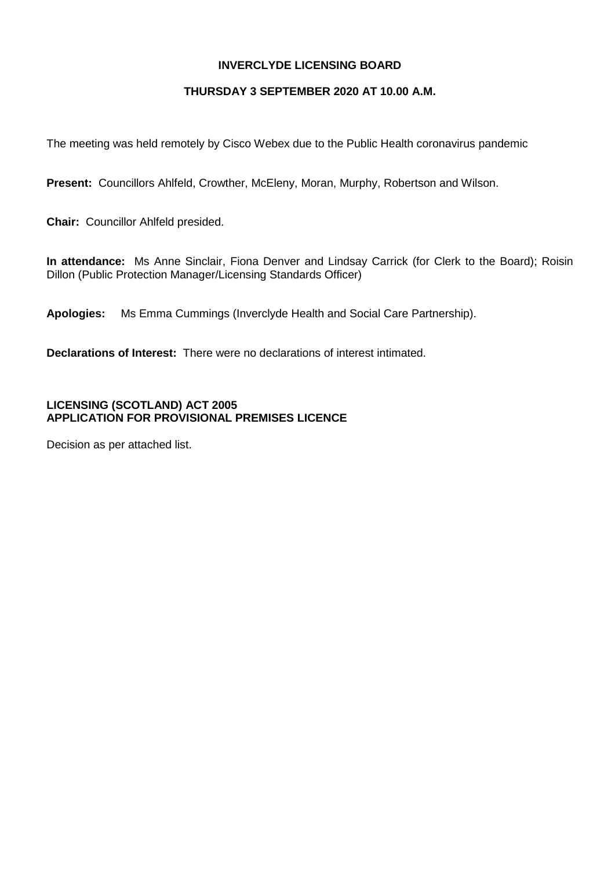### **INVERCLYDE LICENSING BOARD**

### **THURSDAY 3 SEPTEMBER 2020 AT 10.00 A.M.**

The meeting was held remotely by Cisco Webex due to the Public Health coronavirus pandemic

**Present:** Councillors Ahlfeld, Crowther, McEleny, Moran, Murphy, Robertson and Wilson.

**Chair:** Councillor Ahlfeld presided.

**In attendance:** Ms Anne Sinclair, Fiona Denver and Lindsay Carrick (for Clerk to the Board); Roisin Dillon (Public Protection Manager/Licensing Standards Officer)

**Apologies:** Ms Emma Cummings (Inverclyde Health and Social Care Partnership).

**Declarations of Interest:** There were no declarations of interest intimated.

### **LICENSING (SCOTLAND) ACT 2005 APPLICATION FOR PROVISIONAL PREMISES LICENCE**

Decision as per attached list.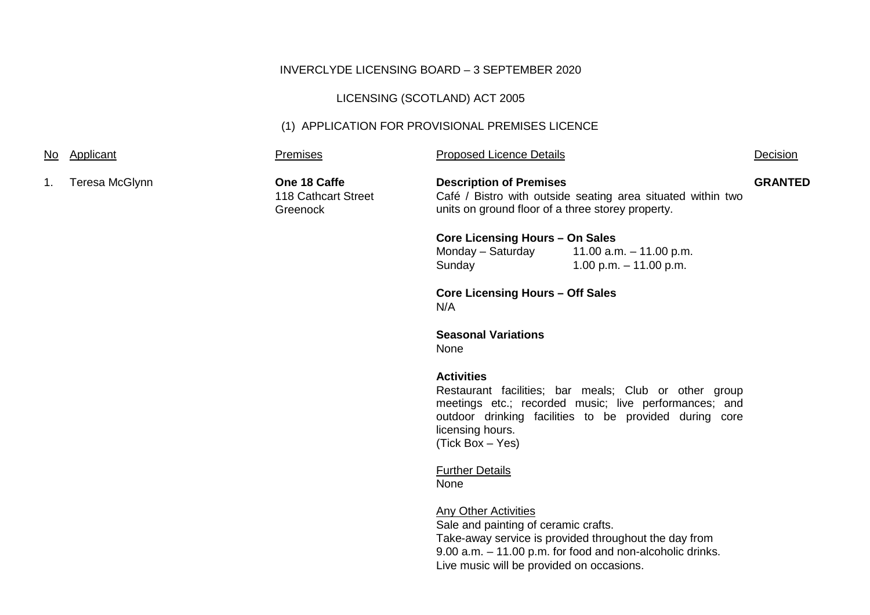## INVERCLYDE LICENSING BOARD – 3 SEPTEMBER 2020

# LICENSING (SCOTLAND) ACT 2005

## (1) APPLICATION FOR PROVISIONAL PREMISES LICENCE

|    | No Applicant                                   | Premises                                        | <b>Proposed Licence Details</b>                                                                                                                    |                                                                                                                                                                          | Decision       |
|----|------------------------------------------------|-------------------------------------------------|----------------------------------------------------------------------------------------------------------------------------------------------------|--------------------------------------------------------------------------------------------------------------------------------------------------------------------------|----------------|
| 1. | Teresa McGlynn                                 | One 18 Caffe<br>118 Cathcart Street<br>Greenock | <b>Description of Premises</b><br>Café / Bistro with outside seating area situated within two<br>units on ground floor of a three storey property. |                                                                                                                                                                          | <b>GRANTED</b> |
|    |                                                |                                                 | <b>Core Licensing Hours - On Sales</b><br>Monday - Saturday<br>Sunday                                                                              | 11.00 a.m. $-$ 11.00 p.m.<br>1.00 p.m. $-$ 11.00 p.m.                                                                                                                    |                |
|    | <b>Core Licensing Hours - Off Sales</b><br>N/A |                                                 |                                                                                                                                                    |                                                                                                                                                                          |                |
|    |                                                |                                                 | <b>Seasonal Variations</b><br>None                                                                                                                 |                                                                                                                                                                          |                |
|    |                                                |                                                 | <b>Activities</b><br>licensing hours.<br>(Tick Box - Yes)                                                                                          | Restaurant facilities; bar meals; Club or other group<br>meetings etc.; recorded music; live performances; and<br>outdoor drinking facilities to be provided during core |                |
|    |                                                |                                                 | <b>Further Details</b><br>None                                                                                                                     |                                                                                                                                                                          |                |
|    |                                                |                                                 | <b>Any Other Activities</b><br>Sale and painting of ceramic crafts.<br>Live music will be provided on occasions.                                   | Take-away service is provided throughout the day from<br>9.00 a.m. - 11.00 p.m. for food and non-alcoholic drinks.                                                       |                |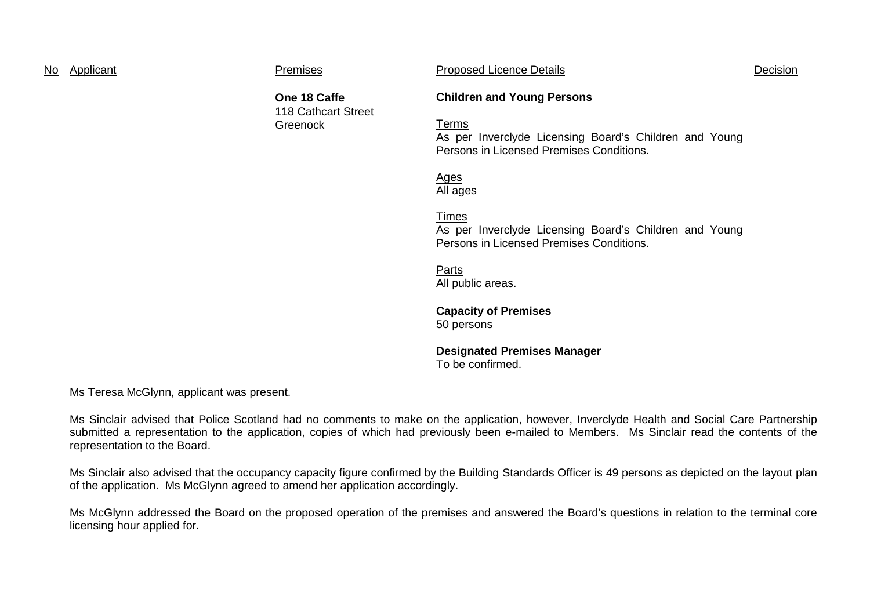| No | Applicant |
|----|-----------|
|    |           |

Premises **Exercise Proposed Licence Details Container Proposed Licence Details** Decision

**One 18 Caffe** 118 Cathcart Street **Greenock** 

### **Children and Young Persons**

Terms

As per Inverclyde Licensing Board's Children and Young Persons in Licensed Premises Conditions.

Ages All ages

Times

As per Inverclyde Licensing Board's Children and Young Persons in Licensed Premises Conditions.

Parts All public areas.

**Capacity of Premises** 50 persons

**Designated Premises Manager** To be confirmed.

Ms Teresa McGlynn, applicant was present.

Ms Sinclair advised that Police Scotland had no comments to make on the application, however, Inverclyde Health and Social Care Partnership submitted a representation to the application, copies of which had previously been e-mailed to Members. Ms Sinclair read the contents of the representation to the Board.

Ms Sinclair also advised that the occupancy capacity figure confirmed by the Building Standards Officer is 49 persons as depicted on the layout plan of the application. Ms McGlynn agreed to amend her application accordingly.

Ms McGlynn addressed the Board on the proposed operation of the premises and answered the Board's questions in relation to the terminal core licensing hour applied for.